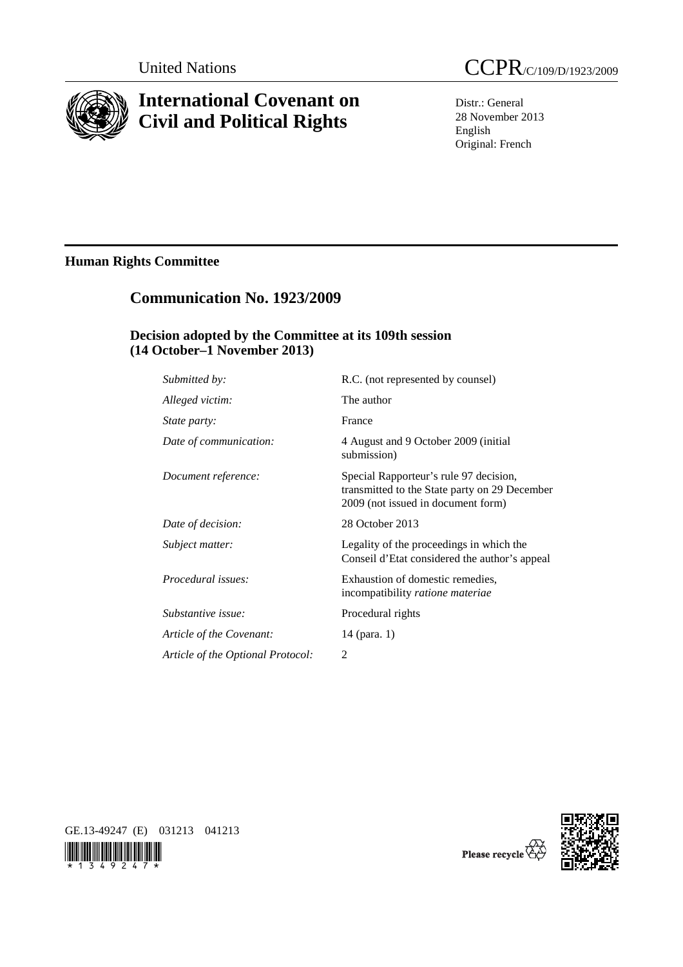

# **International Covenant on Civil and Political Rights**

Distr.: General 28 November 2013 English Original: French

## **Human Rights Committee**

## **Communication No. 1923/2009**

## **Decision adopted by the Committee at its 109th session (14 October–1 November 2013)**

| Submitted by:                     | R.C. (not represented by counsel)                                                                                             |
|-----------------------------------|-------------------------------------------------------------------------------------------------------------------------------|
| Alleged victim:                   | The author                                                                                                                    |
| State party:                      | France                                                                                                                        |
| Date of communication:            | 4 August and 9 October 2009 (initial<br>submission)                                                                           |
| Document reference:               | Special Rapporteur's rule 97 decision,<br>transmitted to the State party on 29 December<br>2009 (not issued in document form) |
| Date of decision:                 | 28 October 2013                                                                                                               |
| Subject matter:                   | Legality of the proceedings in which the<br>Conseil d'Etat considered the author's appeal                                     |
| <i>Procedural issues:</i>         | Exhaustion of domestic remedies,<br>incompatibility ratione materiae                                                          |
| Substantive issue:                | Procedural rights                                                                                                             |
| Article of the Covenant:          | 14 (para. 1)                                                                                                                  |
| Article of the Optional Protocol: | 2                                                                                                                             |
|                                   |                                                                                                                               |







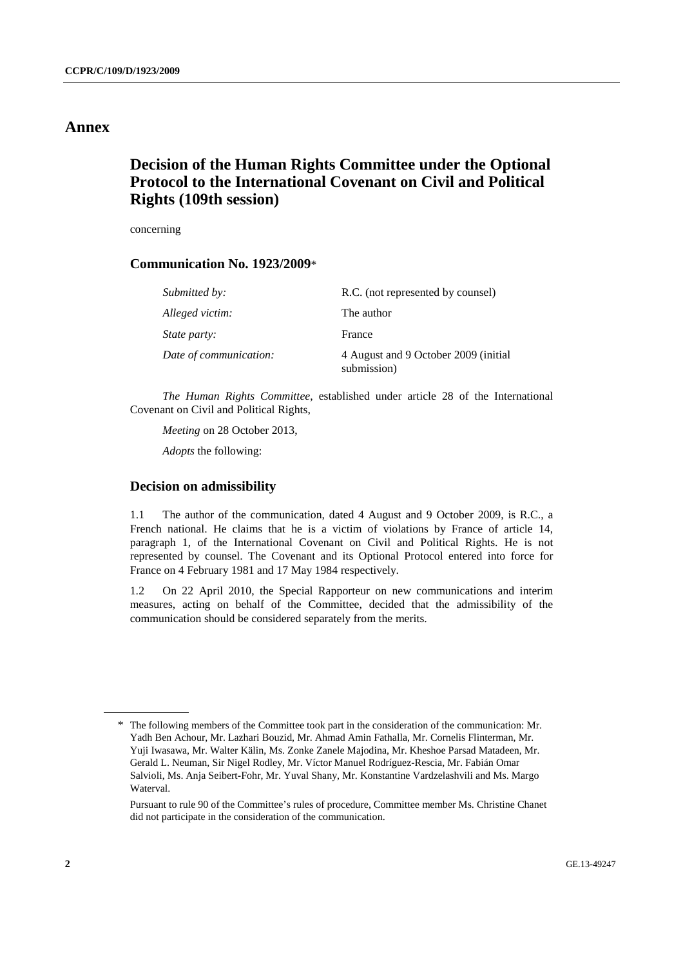## **Annex**

## **Decision of the Human Rights Committee under the Optional Protocol to the International Covenant on Civil and Political Rights (109th session)**

concerning

## **Communication No. 1923/2009**\*

| Submitted by:          | R.C. (not represented by counsel)                    |
|------------------------|------------------------------------------------------|
| Alleged victim:        | The author                                           |
| <i>State party:</i>    | France                                               |
| Date of communication: | 4 August and 9 October 2009 (initial)<br>submission) |

*The Human Rights Committee*, established under article 28 of the International Covenant on Civil and Political Rights,

*Meeting* on 28 October 2013,

 *Adopts* the following:

### **Decision on admissibility**

1.1 The author of the communication, dated 4 August and 9 October 2009, is R.C., a French national. He claims that he is a victim of violations by France of article 14, paragraph 1, of the International Covenant on Civil and Political Rights. He is not represented by counsel. The Covenant and its Optional Protocol entered into force for France on 4 February 1981 and 17 May 1984 respectively.

1.2 On 22 April 2010, the Special Rapporteur on new communications and interim measures, acting on behalf of the Committee, decided that the admissibility of the communication should be considered separately from the merits.

<sup>\*</sup> The following members of the Committee took part in the consideration of the communication: Mr. Yadh Ben Achour, Mr. Lazhari Bouzid, Mr. Ahmad Amin Fathalla, Mr. Cornelis Flinterman, Mr. Yuji Iwasawa, Mr. Walter Kälin, Ms. Zonke Zanele Majodina, Mr. Kheshoe Parsad Matadeen, Mr. Gerald L. Neuman, Sir Nigel Rodley, Mr. Víctor Manuel Rodríguez-Rescia, Mr. Fabián Omar Salvioli, Ms. Anja Seibert-Fohr, Mr. Yuval Shany, Mr. Konstantine Vardzelashvili and Ms. Margo Waterval.

Pursuant to rule 90 of the Committee's rules of procedure, Committee member Ms. Christine Chanet did not participate in the consideration of the communication.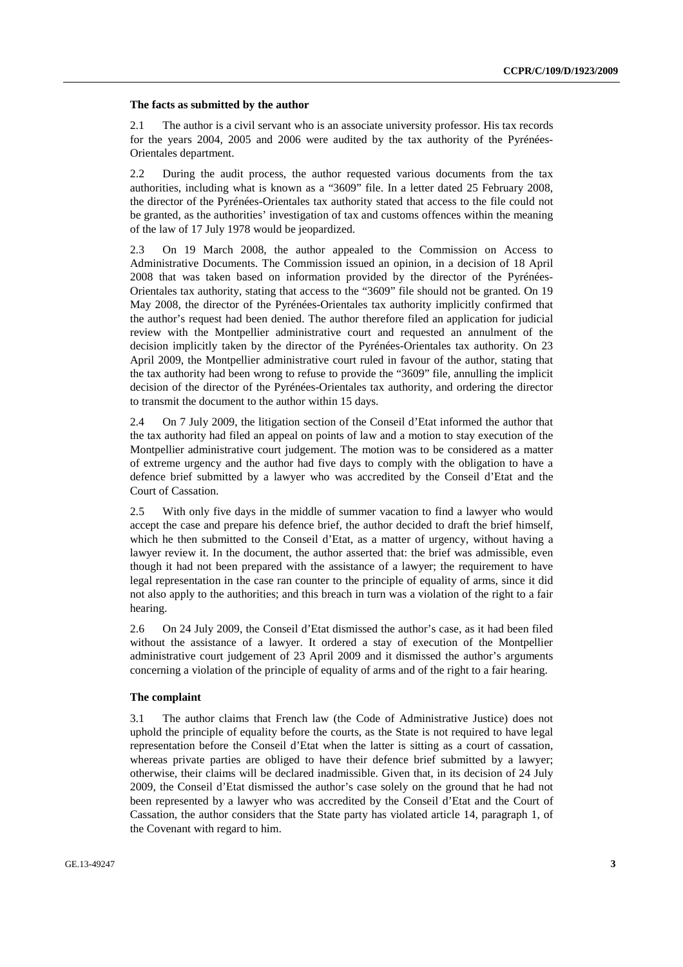#### **The facts as submitted by the author**

2.1 The author is a civil servant who is an associate university professor. His tax records for the years 2004, 2005 and 2006 were audited by the tax authority of the Pyrénées-Orientales department.

2.2 During the audit process, the author requested various documents from the tax authorities, including what is known as a "3609" file. In a letter dated 25 February 2008, the director of the Pyrénées-Orientales tax authority stated that access to the file could not be granted, as the authorities' investigation of tax and customs offences within the meaning of the law of 17 July 1978 would be jeopardized.

2.3 On 19 March 2008, the author appealed to the Commission on Access to Administrative Documents. The Commission issued an opinion, in a decision of 18 April 2008 that was taken based on information provided by the director of the Pyrénées-Orientales tax authority, stating that access to the "3609" file should not be granted. On 19 May 2008, the director of the Pyrénées-Orientales tax authority implicitly confirmed that the author's request had been denied. The author therefore filed an application for judicial review with the Montpellier administrative court and requested an annulment of the decision implicitly taken by the director of the Pyrénées-Orientales tax authority. On 23 April 2009, the Montpellier administrative court ruled in favour of the author, stating that the tax authority had been wrong to refuse to provide the "3609" file, annulling the implicit decision of the director of the Pyrénées-Orientales tax authority, and ordering the director to transmit the document to the author within 15 days.

2.4 On 7 July 2009, the litigation section of the Conseil d'Etat informed the author that the tax authority had filed an appeal on points of law and a motion to stay execution of the Montpellier administrative court judgement. The motion was to be considered as a matter of extreme urgency and the author had five days to comply with the obligation to have a defence brief submitted by a lawyer who was accredited by the Conseil d'Etat and the Court of Cassation.

2.5 With only five days in the middle of summer vacation to find a lawyer who would accept the case and prepare his defence brief, the author decided to draft the brief himself, which he then submitted to the Conseil d'Etat, as a matter of urgency, without having a lawyer review it. In the document, the author asserted that: the brief was admissible, even though it had not been prepared with the assistance of a lawyer; the requirement to have legal representation in the case ran counter to the principle of equality of arms, since it did not also apply to the authorities; and this breach in turn was a violation of the right to a fair hearing.

2.6 On 24 July 2009, the Conseil d'Etat dismissed the author's case, as it had been filed without the assistance of a lawyer. It ordered a stay of execution of the Montpellier administrative court judgement of 23 April 2009 and it dismissed the author's arguments concerning a violation of the principle of equality of arms and of the right to a fair hearing.

### **The complaint**

3.1 The author claims that French law (the Code of Administrative Justice) does not uphold the principle of equality before the courts, as the State is not required to have legal representation before the Conseil d'Etat when the latter is sitting as a court of cassation, whereas private parties are obliged to have their defence brief submitted by a lawyer; otherwise, their claims will be declared inadmissible. Given that, in its decision of 24 July 2009, the Conseil d'Etat dismissed the author's case solely on the ground that he had not been represented by a lawyer who was accredited by the Conseil d'Etat and the Court of Cassation, the author considers that the State party has violated article 14, paragraph 1, of the Covenant with regard to him.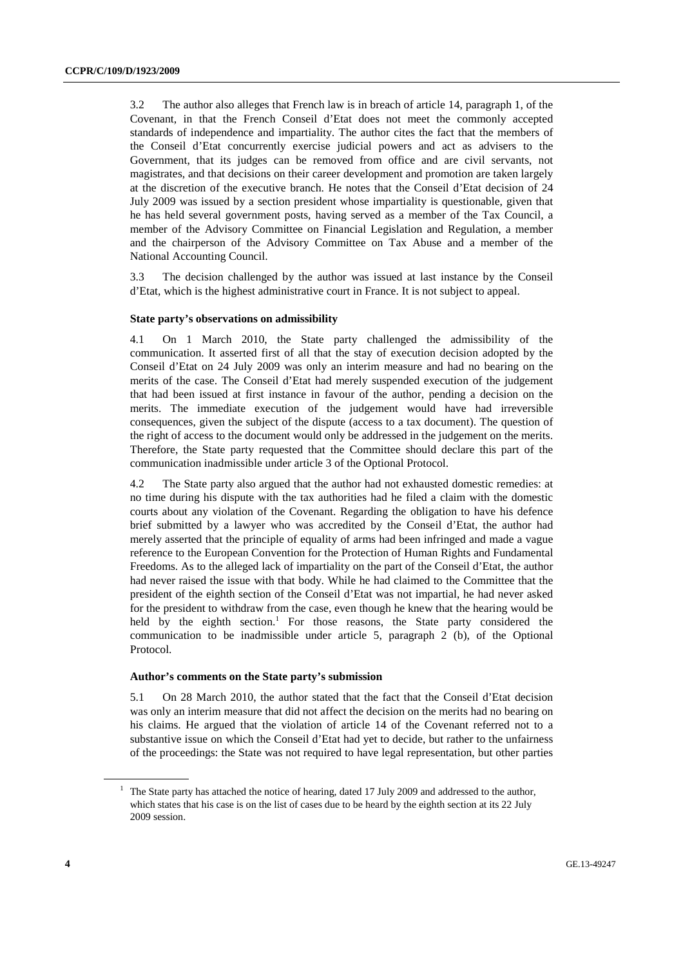3.2 The author also alleges that French law is in breach of article 14, paragraph 1, of the Covenant, in that the French Conseil d'Etat does not meet the commonly accepted standards of independence and impartiality. The author cites the fact that the members of the Conseil d'Etat concurrently exercise judicial powers and act as advisers to the Government, that its judges can be removed from office and are civil servants, not magistrates, and that decisions on their career development and promotion are taken largely at the discretion of the executive branch. He notes that the Conseil d'Etat decision of 24 July 2009 was issued by a section president whose impartiality is questionable, given that he has held several government posts, having served as a member of the Tax Council, a member of the Advisory Committee on Financial Legislation and Regulation, a member and the chairperson of the Advisory Committee on Tax Abuse and a member of the National Accounting Council.

3.3 The decision challenged by the author was issued at last instance by the Conseil d'Etat, which is the highest administrative court in France. It is not subject to appeal.

#### **State party's observations on admissibility**

4.1 On 1 March 2010, the State party challenged the admissibility of the communication. It asserted first of all that the stay of execution decision adopted by the Conseil d'Etat on 24 July 2009 was only an interim measure and had no bearing on the merits of the case. The Conseil d'Etat had merely suspended execution of the judgement that had been issued at first instance in favour of the author, pending a decision on the merits. The immediate execution of the judgement would have had irreversible consequences, given the subject of the dispute (access to a tax document). The question of the right of access to the document would only be addressed in the judgement on the merits. Therefore, the State party requested that the Committee should declare this part of the communication inadmissible under article 3 of the Optional Protocol.

4.2 The State party also argued that the author had not exhausted domestic remedies: at no time during his dispute with the tax authorities had he filed a claim with the domestic courts about any violation of the Covenant. Regarding the obligation to have his defence brief submitted by a lawyer who was accredited by the Conseil d'Etat, the author had merely asserted that the principle of equality of arms had been infringed and made a vague reference to the European Convention for the Protection of Human Rights and Fundamental Freedoms. As to the alleged lack of impartiality on the part of the Conseil d'Etat, the author had never raised the issue with that body. While he had claimed to the Committee that the president of the eighth section of the Conseil d'Etat was not impartial, he had never asked for the president to withdraw from the case, even though he knew that the hearing would be held by the eighth section.<sup>1</sup> For those reasons, the State party considered the communication to be inadmissible under article 5, paragraph 2 (b), of the Optional Protocol.

#### **Author's comments on the State party's submission**

5.1 On 28 March 2010, the author stated that the fact that the Conseil d'Etat decision was only an interim measure that did not affect the decision on the merits had no bearing on his claims. He argued that the violation of article 14 of the Covenant referred not to a substantive issue on which the Conseil d'Etat had yet to decide, but rather to the unfairness of the proceedings: the State was not required to have legal representation, but other parties

<sup>&</sup>lt;sup>1</sup> The State party has attached the notice of hearing, dated 17 July 2009 and addressed to the author, which states that his case is on the list of cases due to be heard by the eighth section at its 22 July 2009 session.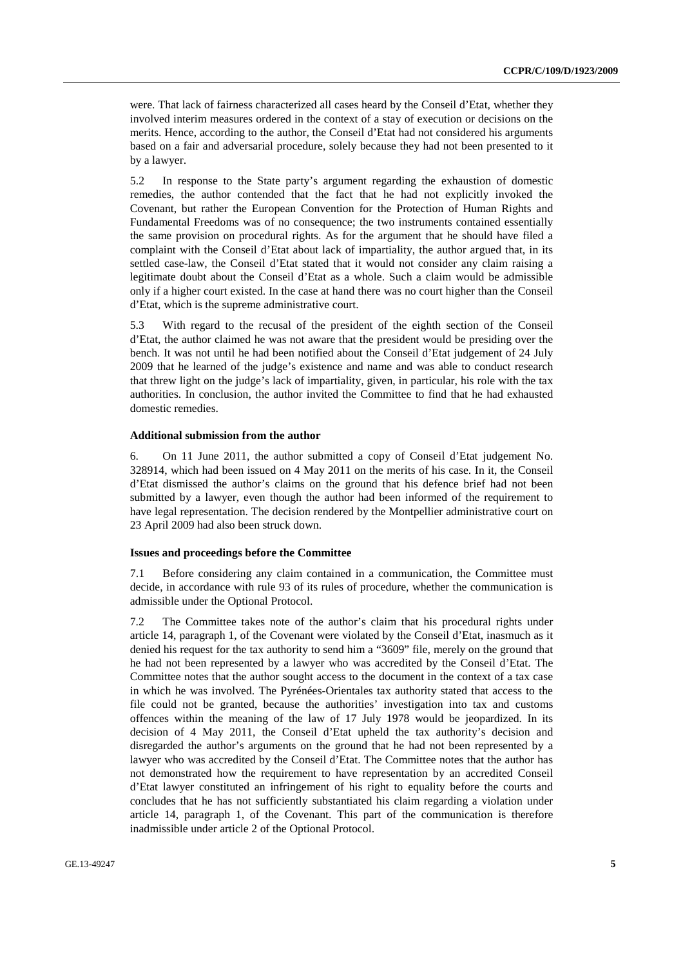were. That lack of fairness characterized all cases heard by the Conseil d'Etat, whether they involved interim measures ordered in the context of a stay of execution or decisions on the merits. Hence, according to the author, the Conseil d'Etat had not considered his arguments based on a fair and adversarial procedure, solely because they had not been presented to it by a lawyer.

5.2 In response to the State party's argument regarding the exhaustion of domestic remedies, the author contended that the fact that he had not explicitly invoked the Covenant, but rather the European Convention for the Protection of Human Rights and Fundamental Freedoms was of no consequence; the two instruments contained essentially the same provision on procedural rights. As for the argument that he should have filed a complaint with the Conseil d'Etat about lack of impartiality, the author argued that, in its settled case-law, the Conseil d'Etat stated that it would not consider any claim raising a legitimate doubt about the Conseil d'Etat as a whole. Such a claim would be admissible only if a higher court existed. In the case at hand there was no court higher than the Conseil d'Etat, which is the supreme administrative court.

5.3 With regard to the recusal of the president of the eighth section of the Conseil d'Etat, the author claimed he was not aware that the president would be presiding over the bench. It was not until he had been notified about the Conseil d'Etat judgement of 24 July 2009 that he learned of the judge's existence and name and was able to conduct research that threw light on the judge's lack of impartiality, given, in particular, his role with the tax authorities. In conclusion, the author invited the Committee to find that he had exhausted domestic remedies.

### **Additional submission from the author**

6. On 11 June 2011, the author submitted a copy of Conseil d'Etat judgement No. 328914, which had been issued on 4 May 2011 on the merits of his case. In it, the Conseil d'Etat dismissed the author's claims on the ground that his defence brief had not been submitted by a lawyer, even though the author had been informed of the requirement to have legal representation. The decision rendered by the Montpellier administrative court on 23 April 2009 had also been struck down.

#### **Issues and proceedings before the Committee**

7.1 Before considering any claim contained in a communication, the Committee must decide, in accordance with rule 93 of its rules of procedure, whether the communication is admissible under the Optional Protocol.

7.2 The Committee takes note of the author's claim that his procedural rights under article 14, paragraph 1, of the Covenant were violated by the Conseil d'Etat, inasmuch as it denied his request for the tax authority to send him a "3609" file, merely on the ground that he had not been represented by a lawyer who was accredited by the Conseil d'Etat. The Committee notes that the author sought access to the document in the context of a tax case in which he was involved. The Pyrénées-Orientales tax authority stated that access to the file could not be granted, because the authorities' investigation into tax and customs offences within the meaning of the law of 17 July 1978 would be jeopardized. In its decision of 4 May 2011, the Conseil d'Etat upheld the tax authority's decision and disregarded the author's arguments on the ground that he had not been represented by a lawyer who was accredited by the Conseil d'Etat. The Committee notes that the author has not demonstrated how the requirement to have representation by an accredited Conseil d'Etat lawyer constituted an infringement of his right to equality before the courts and concludes that he has not sufficiently substantiated his claim regarding a violation under article 14, paragraph 1, of the Covenant. This part of the communication is therefore inadmissible under article 2 of the Optional Protocol.